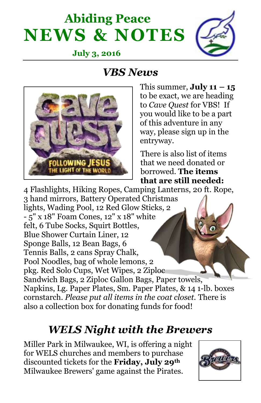## **Abiding Peace NEWS & NOTES**



#### **July 3, 2016**

#### *VBS News*



This summer,  $\text{July 11} - 15$ to be exact, we are heading to *Cave Quest* for VBS! If you would like to be a part of this adventure in any way, please sign up in the entryway.

There is also list of items that we need donated or borrowed. **The items that are still needed:**

4 Flashlights, Hiking Ropes, Camping Lanterns, 20 ft. Rope, 3 hand mirrors, Battery Operated Christmas lights, Wading Pool, 12 Red Glow Sticks, 2 - 5" x 18" Foam Cones, 12" x 18" white felt, 6 Tube Socks, Squirt Bottles, Blue Shower Curtain Liner, 12 Sponge Balls, 12 Bean Bags, 6 Tennis Balls, 2 cans Spray Chalk, Pool Noodles, bag of whole lemons, 2 pkg. Red Solo Cups, Wet Wipes, 2 Ziploc Sandwich Bags, 2 Ziploc Gallon Bags, Paper towels, Napkins, Lg. Paper Plates, Sm. Paper Plates, & 14 1-lb. boxes cornstarch. *Please put all items in the coat closet.* There is also a collection box for donating funds for food!

#### *WELS Night with the Brewers*

Miller Park in Milwaukee, WI, is offering a night for WELS churches and members to purchase discounted tickets for the **Friday, July 29th** Milwaukee Brewers' game against the Pirates.

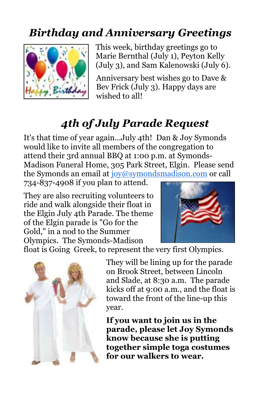### *Birthday and Anniversary Greetings*



This week, birthday greetings go to Marie Bernthal (July 1), Peyton Kelly (July 3), and Sam Kalenowski (July 6).

Anniversary best wishes go to Dave & Bev Frick (July 3). Happy days are wished to all!

### *4th of July Parade Request*

It's that time of year again...July 4th! Dan & Joy Symonds would like to invite all members of the congregation to attend their 3rd annual BBQ at 1:00 p.m. at Symonds-Madison Funeral Home, 305 Park Street, Elgin. Please send the Symonds an email at [joy@symondsmadison.com](mailto:joy@symondsmadison.com) or call

734-837-4908 if you plan to attend.

They are also recruiting volunteers to ride and walk alongside their float in the Elgin July 4th Parade. The theme of the Elgin parade is "Go for the Gold," in a nod to the Summer Olympics. The Symonds-Madison



float is Going Greek, to represent the very first Olympics.



They will be lining up for the parade on Brook Street, between Lincoln and Slade, at 8:30 a.m. The parade kicks off at 9:00 a.m., and the float is toward the front of the line-up this year.

**If you want to join us in the parade, please let Joy Symonds know because she is putting together simple toga costumes for our walkers to wear.**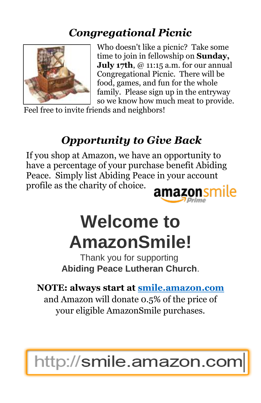#### *Congregational Picnic*



Who doesn't like a picnic? Take some time to join in fellowship on **Sunday, July 17th**, @ 11:15 a.m. for our annual Congregational Picnic. There will be food, games, and fun for the whole family. Please sign up in the entryway so we know how much meat to provide.

Feel free to invite friends and neighbors!

### *Opportunity to Give Back*

If you shop at Amazon, we have an opportunity to have a percentage of your purchase benefit Abiding Peace. Simply list Abiding Peace in your account profile as the charity of choice. amaz

# **Welcome to AmazonSmile!**

Thank you for supporting **Abiding Peace Lutheran Church**.

**NOTE: always start at [smile.amazon.com](https://www.amazon.com/gp/f.html?C=BKM94FC3JWEU&K=A5TAPNUAEPVWF&R=2M9OK2XTYWFK6&T=C&U=http%3A%2F%2Fsmile.amazon.com%2Fref%3Dpe_830720_136174660_smi_em_we2_l1_smi&A=OTQ94Q0VRLAFWCOF0GI2ZOLCQAOA&H=IBTZAHKHENIF15L9AGMTR0AKF80A&ref_=pe_830720_136174660_smi_em_we2_l1_smi)** and Amazon will donate 0.5% of the price of

your eligible AmazonSmile purchases.

## http://smile.amazon.com